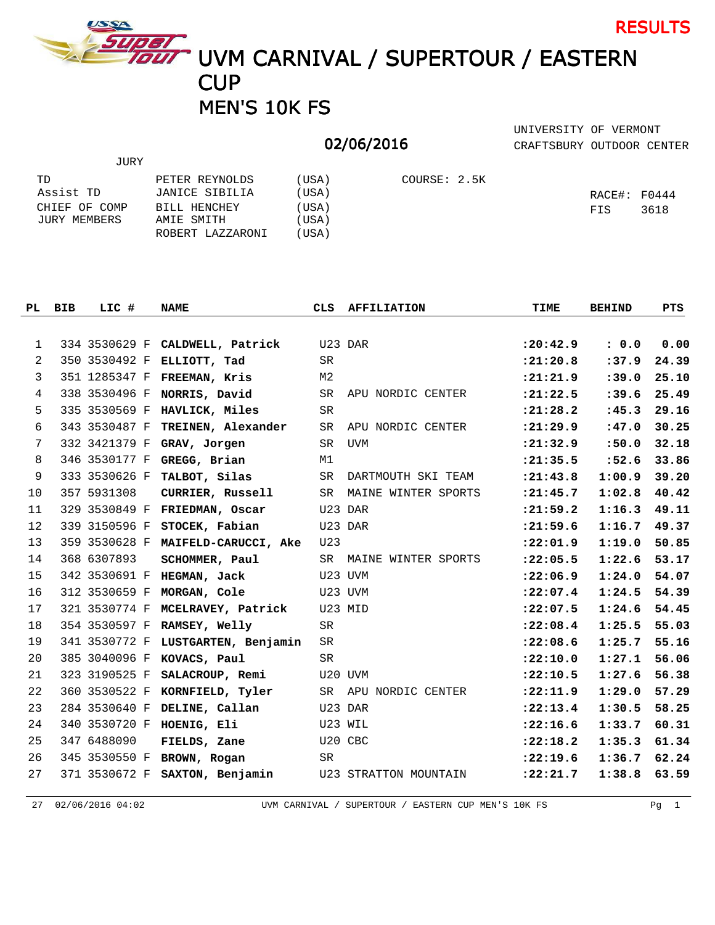

JURY

TOET<br>TOUT UVM CARNIVAL / SUPERTOUR / EASTERN **CUP** MEN'S 10K FS

## 02/06/2016

CRAFTSBURY OUTDOOR CENTER UNIVERSITY OF VERMONT

RESULTS

| TD            | PETER REYNOLDS   | (USA) | COURSE: 2.5K |                   |      |
|---------------|------------------|-------|--------------|-------------------|------|
| Assist TD     | JANICE SIBILIA   | (USA) |              | $RACE$ #: $F0444$ |      |
| CHIEF OF COMP | BILL HENCHEY     | (USA) |              | FIS               | 3618 |
| JURY MEMBERS  | AMIE SMITH       | (USA) |              |                   |      |
|               | ROBERT LAZZARONI | (USA) |              |                   |      |

|                | PL BIB | LIC #         | <b>NAME</b>                    | CLS            | <b>AFFILIATION</b>    | TIME       | <b>BEHIND</b> | PTS   |
|----------------|--------|---------------|--------------------------------|----------------|-----------------------|------------|---------------|-------|
|                |        |               |                                |                |                       |            |               |       |
| 1              |        | 334 3530629 F | CALDWELL, Patrick              | U23 DAR        |                       | : 20: 42.9 | : 0.0         | 0.00  |
| 2              |        | 350 3530492 F | ELLIOTT, Tad                   | SR             |                       | : 21: 20.8 | :37.9         | 24.39 |
| 3              |        | 351 1285347 F | FREEMAN, Kris                  | M <sub>2</sub> |                       | : 21: 21.9 | : 39.0        | 25.10 |
| $\overline{4}$ |        | 338 3530496 F | NORRIS, David                  | SR             | APU NORDIC CENTER     | : 21: 22.5 | : 39.6        | 25.49 |
| 5              |        | 335 3530569 F | HAVLICK, Miles                 | SR             |                       | : 21: 28.2 | :45.3         | 29.16 |
| 6              |        | 343 3530487 F | TREINEN, Alexander             | <b>SR</b>      | APU NORDIC CENTER     | : 21: 29.9 | :47.0         | 30.25 |
| 7              |        | 332 3421379 F | GRAV, Jorgen                   | SR.            | UVM                   | : 21: 32.9 | :50.0         | 32.18 |
| 8              |        | 346 3530177 F | GREGG, Brian                   | M1             |                       | : 21: 35.5 | :52.6         | 33.86 |
| 9              |        | 333 3530626 F | TALBOT, Silas                  | SR             | DARTMOUTH SKI TEAM    | : 21: 43.8 | 1:00.9        | 39.20 |
| 10             |        | 357 5931308   | CURRIER, Russell               | SR.            | MAINE WINTER SPORTS   | : 21: 45.7 | 1:02.8        | 40.42 |
| 11             |        | 329 3530849 F | FRIEDMAN, Oscar                |                | U23 DAR               | : 21: 59.2 | 1:16.3        | 49.11 |
| 12             |        | 339 3150596 F | STOCEK, Fabian                 |                | U23 DAR               | : 21: 59.6 | 1:16.7        | 49.37 |
| 13             |        | 359 3530628 F | MAIFELD-CARUCCI, Ake           | U23            |                       | : 22:01.9  | 1:19.0        | 50.85 |
| 14             |        | 368 6307893   | SCHOMMER, Paul                 | SR             | MAINE WINTER SPORTS   | : 22:05.5  | 1:22.6        | 53.17 |
| 15             |        | 342 3530691 F | HEGMAN, Jack                   |                | U23 UVM               | : 22:06.9  | 1:24.0        | 54.07 |
| 16             |        | 312 3530659 F | MORGAN, Cole                   |                | U23 UVM               | : 22:07.4  | 1:24.5        | 54.39 |
| 17             |        | 321 3530774 F | MCELRAVEY, Patrick             | U23 MID        |                       | : 22:07.5  | 1:24.6        | 54.45 |
| 18             |        | 354 3530597 F | RAMSEY, Welly                  | SR.            |                       | : 22:08.4  | 1:25.5        | 55.03 |
| 19             |        | 341 3530772 F | LUSTGARTEN, Benjamin           | SR             |                       | : 22:08.6  | 1:25.7        | 55.16 |
| 20             |        | 385 3040096 F | KOVACS, Paul                   | <b>SR</b>      |                       | : 22: 10.0 | 1:27.1        | 56.06 |
| 21             |        | 323 3190525 F | SALACROUP, Remi                |                | U20 UVM               | : 22: 10.5 | 1:27.6        | 56.38 |
| 22             |        | 360 3530522 F | KORNFIELD, Tyler               | SR             | APU NORDIC CENTER     | : 22: 11.9 | 1:29.0        | 57.29 |
| 23             |        | 284 3530640 F | DELINE, Callan                 | U23 DAR        |                       | : 22: 13.4 | 1:30.5        | 58.25 |
| 24             |        |               | 340 3530720 F HOENIG, Eli      | U23 WIL        |                       | : 22:16.6  | 1:33.7        | 60.31 |
| 25             |        | 347 6488090   | FIELDS, Zane                   | U20 CBC        |                       | : 22:18.2  | 1:35.3        | 61.34 |
| 26             |        | 345 3530550 F | BROWN, Rogan                   | SR             |                       | : 22: 19.6 | 1:36.7        | 62.24 |
| 27             |        |               | 371 3530672 F SAXTON, Benjamin |                | U23 STRATTON MOUNTAIN | : 22: 21.7 | 1:38.8        | 63.59 |

27 02/06/2016 04:02 UVM CARNIVAL / SUPERTOUR / EASTERN CUP MEN'S 10K FS Pg 1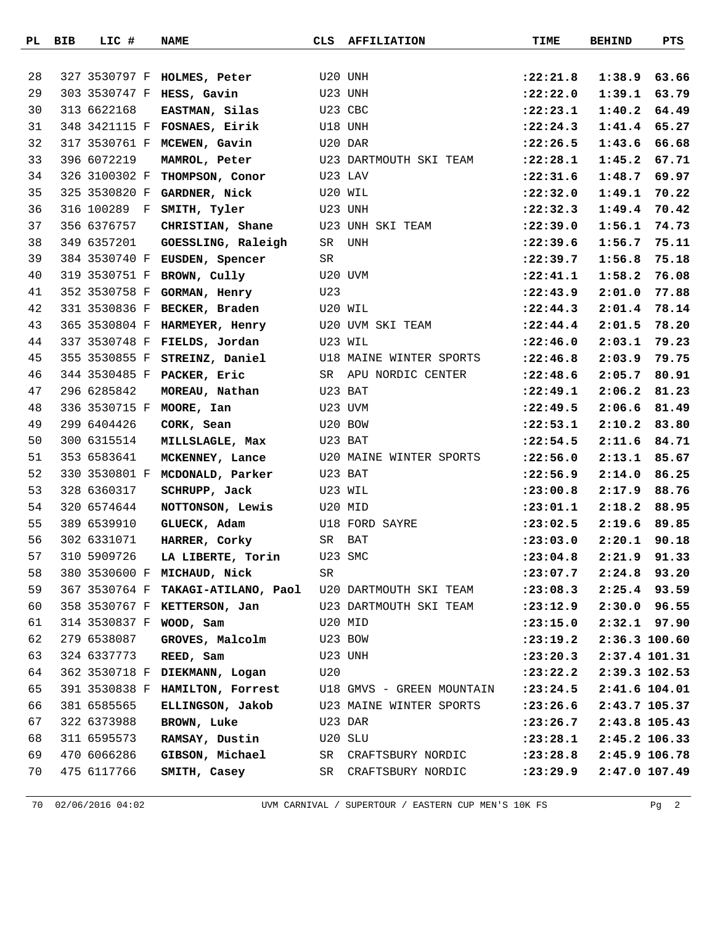|    | PL BIB | LIC #         | <b>NAME</b>                                 | CLS     | <b>AFFILIATION</b>        | TIME       | <b>BEHIND</b> | PTS            |
|----|--------|---------------|---------------------------------------------|---------|---------------------------|------------|---------------|----------------|
|    |        |               |                                             |         |                           |            |               |                |
| 28 |        |               | 327 3530797 F HOLMES, Peter                 |         | U20 UNH                   | :22:21.8   | 1:38.9        | 63.66          |
| 29 |        |               | 303 3530747 F HESS, Gavin                   |         | U23 UNH                   | : 22: 22.0 | 1:39.1        | 63.79          |
| 30 |        | 313 6622168   | EASTMAN, Silas                              |         | U23 CBC                   | : 22: 23.1 | 1:40.2        | 64.49          |
| 31 |        |               | 348 3421115 F FOSNAES, Eirik                |         | U18 UNH                   | : 22: 24.3 | 1:41.4        | 65.27          |
| 32 |        |               | 317 3530761 F MCEWEN, Gavin                 | U20 DAR |                           | : 22: 26.5 | 1:43.6        | 66.68          |
| 33 |        | 396 6072219   | MAMROL, Peter                               |         | U23 DARTMOUTH SKI TEAM    | : 22: 28.1 | 1:45.2        | 67.71          |
| 34 |        | 326 3100302 F | THOMPSON, Conor                             |         | U23 LAV                   | : 22: 31.6 | 1:48.7        | 69.97          |
| 35 |        | 325 3530820 F | GARDNER, Nick                               |         | U20 WIL                   | : 22:32.0  | 1:49.1        | 70.22          |
| 36 |        | 316 100289 F  | SMITH, Tyler                                |         | U23 UNH                   | : 22: 32.3 | 1:49.4        | 70.42          |
| 37 |        | 356 6376757   | CHRISTIAN, Shane                            |         | U23 UNH SKI TEAM          | : 22:39.0  | 1:56.1        | 74.73          |
| 38 |        | 349 6357201   | GOESSLING, Raleigh                          | SR      | UNH                       | : 22:39.6  | 1:56.7        | 75.11          |
| 39 |        | 384 3530740 F | EUSDEN, Spencer                             | SR      |                           | : 22:39.7  | 1:56.8        | 75.18          |
| 40 |        |               | 319 3530751 F BROWN, Cully                  |         | U20 UVM                   | : 22: 41.1 | 1:58.2        | 76.08          |
| 41 |        | 352 3530758 F | GORMAN, Henry                               | U23     |                           | : 22: 43.9 | 2:01.0        | 77.88          |
| 42 |        | 331 3530836 F | BECKER, Braden                              |         | U20 WIL                   | : 22: 44.3 | 2:01.4        | 78.14          |
| 43 |        |               | 365 3530804 F HARMEYER, Henry               |         | U20 UVM SKI TEAM          | : 22: 44.4 | 2:01.5        | 78.20          |
| 44 |        |               | 337 3530748 F FIELDS, Jordan                | U23 WIL |                           | : 22: 46.0 | 2:03.1        | 79.23          |
| 45 |        | 355 3530855 F | STREINZ, Daniel                             |         | U18 MAINE WINTER SPORTS   | : 22: 46.8 | 2:03.9        | 79.75          |
| 46 |        |               | 344 3530485 F PACKER, Eric                  | SR      | APU NORDIC CENTER         | : 22: 48.6 | 2:05.7        | 80.91          |
| 47 |        | 296 6285842   | MOREAU, Nathan                              |         | U23 BAT                   | :22:49.1   | 2:06.2        | 81.23          |
| 48 |        |               | 336 3530715 F MOORE, Ian                    |         | U23 UVM                   | : 22: 49.5 | 2:06.6        | 81.49          |
| 49 |        | 299 6404426   | CORK, Sean                                  |         | U20 BOW                   | : 22: 53.1 | 2:10.2        | 83.80          |
| 50 |        | 300 6315514   | MILLSLAGLE, Max                             |         | U23 BAT                   | : 22:54.5  | 2:11.6        | 84.71          |
| 51 |        | 353 6583641   | MCKENNEY, Lance                             |         | U20 MAINE WINTER SPORTS   | : 22:56.0  | 2:13.1        | 85.67          |
| 52 |        | 330 3530801 F | MCDONALD, Parker                            |         | U23 BAT                   | : 22:56.9  | 2:14.0        | 86.25          |
| 53 |        | 328 6360317   | SCHRUPP, Jack                               |         | U23 WIL                   | : 23:00.8  | 2:17.9        | 88.76          |
| 54 |        | 320 6574644   | NOTTONSON, Lewis                            |         | U20 MID                   | : 23:01.1  | 2:18.2        | 88.95          |
| 55 |        | 389 6539910   | GLUECK, Adam                                |         | U18 FORD SAYRE            | : 23:02.5  | 2:19.6        | 89.85          |
| 56 |        | 302 6331071   | HARRER, Corky                               | SR      | BAT                       | : 23:03.0  | 2:20.1        | 90.18          |
| 57 |        | 310 5909726   | LA LIBERTE, Torin                           | U23 SMC |                           | : 23:04.8  |               | $2:21.9$ 91.33 |
| 58 |        |               | 380 3530600 F MICHAUD, Nick                 | SR      |                           | : 23:07.7  | 2:24.8        | 93.20          |
| 59 |        | 367 3530764 F | TAKAGI-ATILANO, Paol U20 DARTMOUTH SKI TEAM |         |                           | : 23:08.3  | 2:25.4        | 93.59          |
| 60 |        |               | 358 3530767 F <b>KETTERSON, Jan</b>         |         | U23 DARTMOUTH SKI TEAM    | : 23: 12.9 |               | 2:30.0 96.55   |
| 61 |        |               | 314 3530837 F WOOD, Sam                     |         | U20 MID                   | : 23: 15.0 |               | $2:32.1$ 97.90 |
| 62 |        | 279 6538087   | GROVES, Malcolm                             | U23 BOW |                           | : 23: 19.2 |               | 2:36.3 100.60  |
| 63 |        | 324 6337773   | REED, Sam                                   | U23 UNH |                           | : 23: 20.3 |               | 2:37.4 101.31  |
| 64 |        | 362 3530718 F | DIEKMANN, Logan                             | U20     |                           | : 23: 22.2 |               | 2:39.3 102.53  |
| 65 |        |               | 391 3530838 F HAMILTON, Forrest             |         | U18 GMVS - GREEN MOUNTAIN | : 23: 24.5 |               | 2:41.6 104.01  |
| 66 |        | 381 6585565   | ELLINGSON, Jakob                            |         | U23 MAINE WINTER SPORTS   | : 23: 26.6 |               | 2:43.7 105.37  |
| 67 |        | 322 6373988   | BROWN, Luke                                 |         | U23 DAR                   | : 23: 26.7 |               | 2:43.8 105.43  |
| 68 |        | 311 6595573   | RAMSAY, Dustin                              |         | U20 SLU                   | : 23: 28.1 |               | 2:45.2 106.33  |
| 69 |        | 470 6066286   | GIBSON, Michael                             |         | SR CRAFTSBURY NORDIC      | : 23: 28.8 |               | 2:45.9 106.78  |
| 70 |        | 475 6117766   | SMITH, Casey                                | SR      | CRAFTSBURY NORDIC         | : 23: 29.9 |               | 2:47.0 107.49  |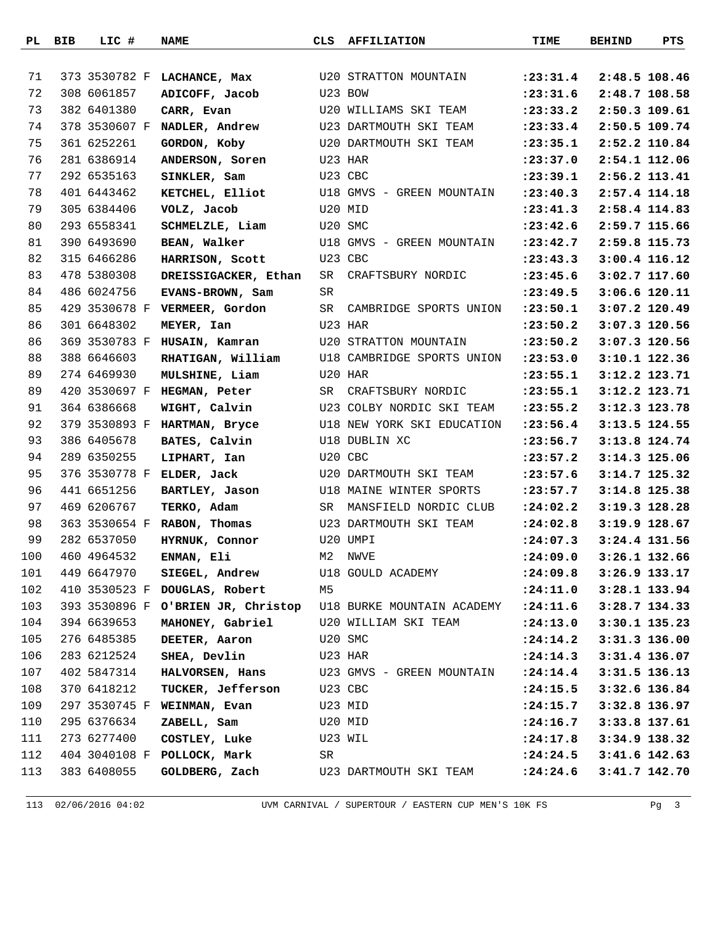|     | PL BIB | LIC #         | <b>NAME</b>                        | CLS | <b>AFFILIATION</b>           | TIME                   | <b>BEHIND</b> | PTS             |
|-----|--------|---------------|------------------------------------|-----|------------------------------|------------------------|---------------|-----------------|
|     |        |               |                                    |     |                              |                        |               |                 |
| 71  |        |               | 373 3530782 F LACHANCE, Max        |     | <b>U20 STRATTON MOUNTAIN</b> | : 23: 31.4             |               | 2:48.5 108.46   |
| 72  |        | 308 6061857   | ADICOFF, Jacob                     |     | U23 BOW                      | : 23: 31.6             |               | 2:48.7 108.58   |
| 73  |        | 382 6401380   | CARR, Evan                         |     | U20 WILLIAMS SKI TEAM        | : 23: 33.2             |               | 2:50.3 109.61   |
| 74  |        |               | 378 3530607 F NADLER, Andrew       |     | U23 DARTMOUTH SKI TEAM       | : 23: 33.4             |               | 2:50.5 109.74   |
| 75  |        | 361 6252261   | GORDON, Koby                       |     | U20 DARTMOUTH SKI TEAM       | : 23: 35.1             |               | 2:52.2 110.84   |
| 76  |        | 281 6386914   | ANDERSON, Soren                    |     | U23 HAR                      | : 23:37.0              |               | 2:54.1 112.06   |
| 77  |        | 292 6535163   | SINKLER, Sam                       |     | U23 CBC                      | : 23: 39.1             |               | 2:56.2 113.41   |
| 78  |        | 401 6443462   | KETCHEL, Elliot                    |     | U18 GMVS - GREEN MOUNTAIN    | : 23: 40.3             |               | 2:57.4 114.18   |
| 79  |        | 305 6384406   | VOLZ, Jacob                        |     | U20 MID                      | : 23: 41.3             |               | 2:58.4 114.83   |
| 80  |        | 293 6558341   | SCHMELZLE, Liam                    |     | U20 SMC                      | : 23: 42.6             |               | 2:59.7 115.66   |
| 81  |        | 390 6493690   | BEAN, Walker                       |     | U18 GMVS - GREEN MOUNTAIN    | : 23: 42.7             |               | 2:59.8 115.73   |
| 82  |        | 315 6466286   | HARRISON, Scott                    |     | U23 CBC                      | : 23: 43.3             |               | 3:00.4 116.12   |
| 83  |        | 478 5380308   | DREISSIGACKER, Ethan               | SR  | CRAFTSBURY NORDIC            | : 23: 45.6             |               | 3:02.7 117.60   |
| 84  |        | 486 6024756   | EVANS-BROWN, Sam                   | SR  |                              | : 23: 49.5             |               | 3:06.6 120.11   |
| 85  |        |               | 429 3530678 F VERMEER, Gordon      | SR  | CAMBRIDGE SPORTS UNION       | : 23: 50.1             |               | $3:07.2$ 120.49 |
| 86  |        | 301 6648302   | MEYER, Ian                         |     | U23 HAR                      | : 23: 50.2             |               | 3:07.3 120.56   |
| 86  |        | 369 3530783 F | HUSAIN, Kamran                     |     | U20 STRATTON MOUNTAIN        | : 23: 50.2             |               | 3:07.3 120.56   |
| 88  |        | 388 6646603   | RHATIGAN, William                  |     | U18 CAMBRIDGE SPORTS UNION   | : 23: 53.0             |               | 3:10.1 122.36   |
| 89  |        | 274 6469930   | MULSHINE, Liam                     |     | U20 HAR                      | : 23: 55.1             |               | 3:12.2 123.71   |
| 89  |        |               | 420 3530697 F HEGMAN, Peter        | SR  | CRAFTSBURY NORDIC            | : 23: 55.1             |               | 3:12.2 123.71   |
| 91  |        | 364 6386668   | WIGHT, Calvin                      |     | U23 COLBY NORDIC SKI TEAM    | : 23: 55.2             |               | 3:12.3 123.78   |
| 92  |        | 379 3530893 F | HARTMAN, Bryce                     |     | U18 NEW YORK SKI EDUCATION   | : 23: 56.4             |               | 3:13.5 124.55   |
| 93  |        | 386 6405678   | BATES, Calvin                      |     | U18 DUBLIN XC                | : 23:56.7              |               | 3:13.8 124.74   |
| 94  |        | 289 6350255   | LIPHART, Ian                       |     | U20 CBC                      | : 23: 57.2             |               | 3:14.3 125.06   |
| 95  |        |               | 376 3530778 F ELDER, Jack          |     | U20 DARTMOUTH SKI TEAM       | : 23: 57.6             |               | 3:14.7 125.32   |
| 96  |        | 441 6651256   | BARTLEY, Jason                     |     | U18 MAINE WINTER SPORTS      | : 23: 57.7             |               | 3:14.8 125.38   |
| 97  |        | 469 6206767   | TERKO, Adam                        | SR  | MANSFIELD NORDIC CLUB        | : 24:02.2              |               | 3:19.3 128.28   |
| 98  |        |               | 363 3530654 F RABON, Thomas        |     | U23 DARTMOUTH SKI TEAM       | : 24:02.8              |               | 3:19.9 128.67   |
| 99  |        | 282 6537050   | HYRNUK, Connor                     |     | U20 UMPI                     | : 24:07.3              |               | $3:24.4$ 131.56 |
| 100 |        | 460 4964532   | ENMAN, Eli                         |     | M2 NWVE                      | :24:09.0 3:26.1 132.66 |               |                 |
| 101 |        | 449 6647970   | SIEGEL, Andrew                     |     | U18 GOULD ACADEMY            | : 24:09.8              |               | 3:26.9 133.17   |
| 102 |        |               | 410 3530523 F DOUGLAS, Robert      | M5  |                              | : 24:11.0              |               | 3:28.1 133.94   |
| 103 |        |               | 393 3530896 F O'BRIEN JR, Christop |     | U18 BURKE MOUNTAIN ACADEMY   | : 24: 11.6             |               | 3:28.7 134.33   |
| 104 |        | 394 6639653   | MAHONEY, Gabriel                   |     | U20 WILLIAM SKI TEAM         | : 24:13.0              |               | 3:30.1 135.23   |
| 105 |        | 276 6485385   | DEETER, Aaron                      |     | U20 SMC                      | : 24:14.2              |               | 3:31.3 136.00   |
| 106 |        | 283 6212524   | SHEA, Devlin                       |     | U23 HAR                      | : 24:14.3              |               | 3:31.4 136.07   |
| 107 |        | 402 5847314   | HALVORSEN, Hans                    |     | U23 GMVS - GREEN MOUNTAIN    | : 24:14.4              |               | 3:31.5 136.13   |
| 108 |        | 370 6418212   | TUCKER, Jefferson                  |     | U23 CBC                      | : 24:15.5              |               | 3:32.6 136.84   |
| 109 |        | 297 3530745 F | WEINMAN, Evan                      |     | U23 MID                      | : 24:15.7              |               | 3:32.8 136.97   |
| 110 |        | 295 6376634   | ZABELL, Sam                        |     | U20 MID                      | : 24:16.7              |               | 3:33.8 137.61   |
| 111 |        | 273 6277400   | COSTLEY, Luke                      |     | U23 WIL                      | : 24: 17.8             |               | 3:34.9 138.32   |
| 112 |        | 404 3040108 F | POLLOCK, Mark                      | SR  |                              | : 24:24.5              |               | $3:41.6$ 142.63 |
| 113 |        | 383 6408055   | GOLDBERG, Zach                     |     | U23 DARTMOUTH SKI TEAM       | : 24:24.6              |               | $3:41.7$ 142.70 |
|     |        |               |                                    |     |                              |                        |               |                 |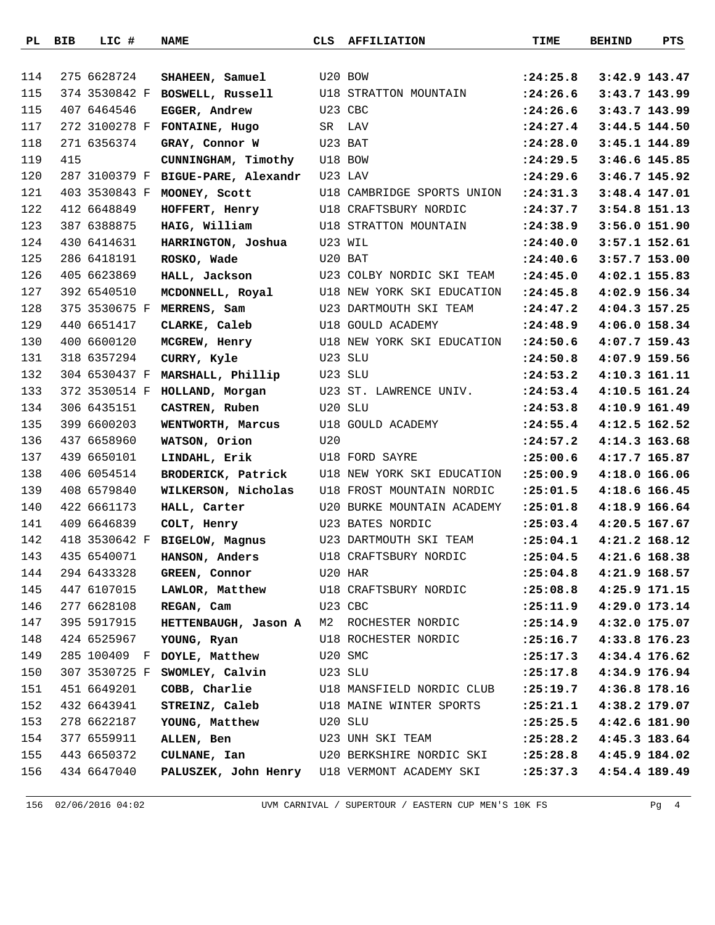|     | PL BIB | LIC #         | <b>NAME</b>                         | CLS     | <b>AFFILIATION</b>                           | TIME                      | <b>BEHIND</b>   | PTS           |
|-----|--------|---------------|-------------------------------------|---------|----------------------------------------------|---------------------------|-----------------|---------------|
|     |        |               |                                     |         |                                              |                           |                 |               |
| 114 |        | 275 6628724   | SHAHEEN, Samuel                     | U20 BOW |                                              | : 24:25.8                 | 3:42.9 143.47   |               |
| 115 |        | 374 3530842 F | BOSWELL, Russell                    |         | <b>U18 STRATTON MOUNTAIN</b>                 | : 24:26.6                 | 3:43.7 143.99   |               |
| 115 |        | 407 6464546   | EGGER, Andrew                       | U23 CBC |                                              | : 24:26.6                 | 3:43.7 143.99   |               |
| 117 |        | 272 3100278 F | FONTAINE, Hugo                      |         | SR LAV                                       | : 24:27.4                 | 3:44.5 144.50   |               |
| 118 |        | 271 6356374   | GRAY, Connor W                      |         | U23 BAT                                      | : 24:28.0                 | 3:45.1 144.89   |               |
| 119 | 415    |               | CUNNINGHAM, Timothy                 |         | U18 BOW                                      | : 24:29.5                 | $3:46.6$ 145.85 |               |
| 120 |        | 287 3100379 F | BIGUE-PARE, Alexandr                |         | U23 LAV                                      | : 24:29.6                 |                 | 3:46.7 145.92 |
| 121 |        | 403 3530843 F | MOONEY, Scott                       |         | U18 CAMBRIDGE SPORTS UNION                   | : 24:31.3                 | 3:48.4 147.01   |               |
| 122 |        | 412 6648849   | HOFFERT, Henry                      |         | U18 CRAFTSBURY NORDIC                        | : 24:37.7                 | 3:54.8 151.13   |               |
| 123 |        | 387 6388875   | HAIG, William                       |         | U18 STRATTON MOUNTAIN                        | : 24:38.9                 | 3:56.0 151.90   |               |
| 124 |        | 430 6414631   | HARRINGTON, Joshua                  |         | U23 WIL                                      | : 24: 40.0                | 3:57.1 152.61   |               |
| 125 |        | 286 6418191   | ROSKO, Wade                         | U20 BAT |                                              | : 24: 40.6                | 3:57.7 153.00   |               |
| 126 |        | 405 6623869   | HALL, Jackson                       |         | U23 COLBY NORDIC SKI TEAM                    | : 24:45.0                 | 4:02.1 155.83   |               |
| 127 |        | 392 6540510   | MCDONNELL, Royal                    |         | U18 NEW YORK SKI EDUCATION                   | :24:45.8                  | 4:02.9 156.34   |               |
| 128 |        | 375 3530675 F | MERRENS, Sam                        |         | U23 DARTMOUTH SKI TEAM                       | : 24: 47.2                | 4:04.3 157.25   |               |
| 129 |        | 440 6651417   | CLARKE, Caleb                       |         | U18 GOULD ACADEMY                            | : 24:48.9                 | 4:06.0 158.34   |               |
| 130 |        | 400 6600120   | MCGREW, Henry                       |         | U18 NEW YORK SKI EDUCATION                   | : 24:50.6                 | $4:07.7$ 159.43 |               |
| 131 |        | 318 6357294   | CURRY, Kyle                         | U23 SLU |                                              | : 24:50.8                 | 4:07.9 159.56   |               |
| 132 |        | 304 6530437 F | MARSHALL, Phillip                   | U23 SLU |                                              | : 24:53.2                 | 4:10.3 161.11   |               |
| 133 |        | 372 3530514 F | HOLLAND, Morgan                     |         | U23 ST. LAWRENCE UNIV.                       | : 24:53.4                 | 4:10.5 161.24   |               |
| 134 |        | 306 6435151   | CASTREN, Ruben                      |         | U20 SLU                                      | : 24:53.8                 | 4:10.9 161.49   |               |
| 135 |        | 399 6600203   | WENTWORTH, Marcus                   |         | U18 GOULD ACADEMY                            | : 24:55.4                 | 4:12.5 162.52   |               |
| 136 |        | 437 6658960   | WATSON, Orion                       | U20     |                                              | : 24:57.2                 | 4:14.3 163.68   |               |
| 137 |        | 439 6650101   | LINDAHL, Erik                       |         | U18 FORD SAYRE                               | : 25:00.6                 | 4:17.7 165.87   |               |
| 138 |        | 406 6054514   | BRODERICK, Patrick                  |         | U18 NEW YORK SKI EDUCATION                   | : 25:00.9                 | 4:18.0 166.06   |               |
| 139 |        | 408 6579840   | WILKERSON, Nicholas                 |         | U18 FROST MOUNTAIN NORDIC                    | : 25:01.5                 | 4:18.6 166.45   |               |
| 140 |        | 422 6661173   | HALL, Carter                        |         | U20 BURKE MOUNTAIN ACADEMY                   | : 25:01.8                 | 4:18.9 166.64   |               |
| 141 |        | 409 6646839   | COLT, Henry                         |         | U23 BATES NORDIC                             | : 25:03.4                 | 4:20.5 167.67   |               |
| 142 |        | 418 3530642 F | <b>BIGELOW, Magnus</b>              |         | U23 DARTMOUTH SKI TEAM                       | : 25:04.1                 | 4:21.2 168.12   |               |
| 143 |        | 435 6540071   | HANSON, Anders                      |         | U18 CRAFTSBURY NORDIC                        | $: 25:04.5$ 4:21.6 168.38 |                 |               |
| 144 |        | 294 6433328   | GREEN, Connor U20 HAR               |         |                                              | : 25:04.8                 | 4:21.9 168.57   |               |
| 145 |        | 447 6107015   |                                     |         | LAWLOR, Matthew U18 CRAFTSBURY NORDIC        | : 25:08.8                 | 4:25.9 171.15   |               |
| 146 |        | 277 6628108   | REGAN, Cam                          | U23 CBC |                                              | :25:11.9                  | 4:29.0 173.14   |               |
| 147 |        | 395 5917915   |                                     |         | HETTENBAUGH, Jason A M2 ROCHESTER NORDIC     | :25:14.9                  | 4:32.0 175.07   |               |
| 148 |        | 424 6525967   | YOUNG, Ryan                         |         | U18 ROCHESTER NORDIC                         | : 25:16.7                 | 4:33.8 176.23   |               |
| 149 |        |               | 285 100409 F DOYLE, Matthew U20 SMC |         |                                              | : 25: 17.3                | 4:34.4 176.62   |               |
| 150 |        | 307 3530725 F | SWOMLEY, Calvin U23 SLU             |         |                                              | : 25: 17.8                | 4:34.9 176.94   |               |
| 151 |        | 451 6649201   |                                     |         | COBB, Charlie U18 MANSFIELD NORDIC CLUB      | : 25: 19.7                | 4:36.8 178.16   |               |
| 152 |        | 432 6643941   |                                     |         | STREINZ, Caleb U18 MAINE WINTER SPORTS       | : 25: 21.1                | 4:38.2 179.07   |               |
| 153 |        | 278 6622187   | YOUNG, Matthew U20 SLU              |         |                                              | : 25: 25.5                | 4:42.6 181.90   |               |
| 154 |        | 377 6559911   | ALLEN, Ben                          |         | U23 UNH SKI TEAM                             | : 25: 28.2                | 4:45.3 183.64   |               |
| 155 |        | 443 6650372   |                                     |         | <b>CULNANE, Ian</b> U20 BERKSHIRE NORDIC SKI | : 25: 28.8                | 4:45.9 184.02   |               |
| 156 |        | 434 6647040   |                                     |         | PALUSZEK, John Henry U18 VERMONT ACADEMY SKI | : 25: 37.3                | 4:54.4 189.49   |               |
|     |        |               |                                     |         |                                              |                           |                 |               |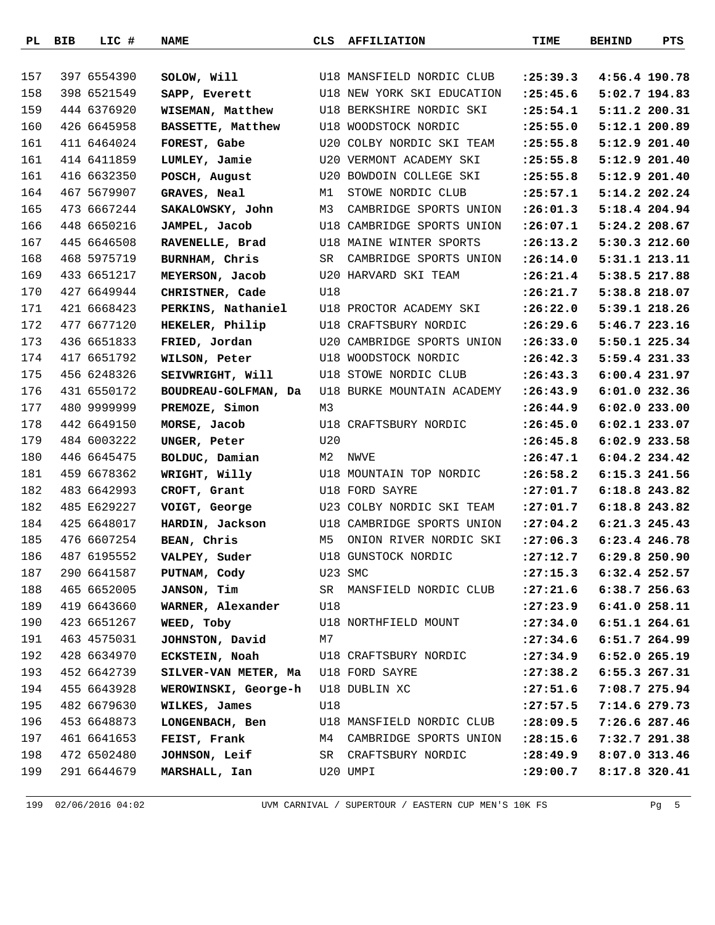|     | PL BIB | LIC #       | <b>NAME</b>                         | CLS     | <b>AFFILIATION</b>                        | TIME                      | <b>BEHIND</b>   | PTS           |
|-----|--------|-------------|-------------------------------------|---------|-------------------------------------------|---------------------------|-----------------|---------------|
|     |        |             |                                     |         |                                           |                           |                 |               |
| 157 |        | 397 6554390 | SOLOW, Will                         |         | U18 MANSFIELD NORDIC CLUB                 | : 25: 39.3                | 4:56.4 190.78   |               |
| 158 |        | 398 6521549 | SAPP, Everett                       |         | U18 NEW YORK SKI EDUCATION                | : 25: 45.6                |                 | 5:02.7 194.83 |
| 159 |        | 444 6376920 | WISEMAN, Matthew                    |         | U18 BERKSHIRE NORDIC SKI                  | : 25:54.1                 | 5:11.2 200.31   |               |
| 160 |        | 426 6645958 | BASSETTE, Matthew                   |         | U18 WOODSTOCK NORDIC                      | : 25:55.0                 |                 | 5:12.1 200.89 |
| 161 |        | 411 6464024 | FOREST, Gabe                        |         | U20 COLBY NORDIC SKI TEAM                 | : 25: 55.8                | 5:12.9 201.40   |               |
| 161 |        | 414 6411859 | LUMLEY, Jamie                       |         | U20 VERMONT ACADEMY SKI                   | : 25:55.8                 |                 | 5:12.9 201.40 |
| 161 |        | 416 6632350 | POSCH, August                       |         | U20 BOWDOIN COLLEGE SKI                   | : 25:55.8                 |                 | 5:12.9 201.40 |
| 164 |        | 467 5679907 | GRAVES, Neal                        | M1      | STOWE NORDIC CLUB                         | : 25: 57.1                | 5:14.2 202.24   |               |
| 165 |        | 473 6667244 | SAKALOWSKY, John                    | M3      | CAMBRIDGE SPORTS UNION                    | : 26:01.3                 | 5:18.4 204.94   |               |
| 166 |        | 448 6650216 | JAMPEL, Jacob                       |         | U18 CAMBRIDGE SPORTS UNION                | : 26:07.1                 | 5:24.2 208.67   |               |
| 167 |        | 445 6646508 | RAVENELLE, Brad                     |         | U18 MAINE WINTER SPORTS                   | : 26: 13.2                |                 | 5:30.3 212.60 |
| 168 |        | 468 5975719 | BURNHAM, Chris                      | SR      | CAMBRIDGE SPORTS UNION                    | : 26:14.0                 |                 | 5:31.1 213.11 |
| 169 |        | 433 6651217 | MEYERSON, Jacob                     |         | U20 HARVARD SKI TEAM                      | : 26: 21.4                | 5:38.5 217.88   |               |
| 170 |        | 427 6649944 | CHRISTNER, Cade                     | U18     |                                           | : 26: 21.7                | 5:38.8 218.07   |               |
| 171 |        | 421 6668423 | PERKINS, Nathaniel                  |         | U18 PROCTOR ACADEMY SKI                   | :26:22.0                  | 5:39.1 218.26   |               |
| 172 |        | 477 6677120 | HEKELER, Philip                     |         | U18 CRAFTSBURY NORDIC                     | : 26:29.6                 | 5:46.7 223.16   |               |
| 173 |        | 436 6651833 | FRIED, Jordan                       |         | U20 CAMBRIDGE SPORTS UNION                | : 26:33.0                 | 5:50.1 225.34   |               |
| 174 |        | 417 6651792 | WILSON, Peter                       |         | U18 WOODSTOCK NORDIC                      | : 26: 42.3                |                 | 5:59.4 231.33 |
| 175 |        | 456 6248326 | SEIVWRIGHT, Will                    |         | U18 STOWE NORDIC CLUB                     | : 26: 43.3                | 6:00.4 231.97   |               |
| 176 |        | 431 6550172 | BOUDREAU-GOLFMAN, Da                |         | U18 BURKE MOUNTAIN ACADEMY                | : 26: 43.9                | $6:01.0$ 232.36 |               |
| 177 |        | 480 9999999 | PREMOZE, Simon                      | M3      |                                           | : 26: 44.9                | $6:02.0$ 233.00 |               |
| 178 |        | 442 6649150 | MORSE, Jacob                        |         | U18 CRAFTSBURY NORDIC                     | : 26: 45.0                | 6:02.1 233.07   |               |
| 179 |        | 484 6003222 | UNGER, Peter                        | U20     |                                           | : 26: 45.8                | 6:02.9 233.58   |               |
| 180 |        | 446 6645475 | BOLDUC, Damian                      | М2      | NWVE                                      | : 26: 47.1                | $6:04.2$ 234.42 |               |
| 181 |        | 459 6678362 | WRIGHT, Willy                       |         | U18 MOUNTAIN TOP NORDIC                   | : 26:58.2                 | 6:15.3 241.56   |               |
| 182 |        | 483 6642993 | CROFT, Grant                        |         | U18 FORD SAYRE                            | :27:01.7                  | 6:18.8 243.82   |               |
| 182 |        | 485 E629227 | VOIGT, George                       |         | U23 COLBY NORDIC SKI TEAM                 | : 27:01.7                 | 6:18.8 243.82   |               |
| 184 |        | 425 6648017 | HARDIN, Jackson                     |         | U18 CAMBRIDGE SPORTS UNION                | : 27:04.2                 | 6:21.3 245.43   |               |
| 185 |        | 476 6607254 | BEAN, Chris                         | M5      | ONION RIVER NORDIC SKI                    | : 27:06.3                 | 6:23.4 246.78   |               |
| 186 |        | 487 6195552 | VALPEY, Suder                       |         | U18 GUNSTOCK NORDIC                       | $: 27:12.7$ 6:29.8 250.90 |                 |               |
| 187 |        | 290 6641587 | PUTNAM, Cody                        | U23 SMC |                                           | : 27: 15.3                | 6:32.4 252.57   |               |
| 188 |        | 465 6652005 | <b>JANSON, Tim</b>                  |         | SR MANSFIELD NORDIC CLUB                  | : 27: 21.6                | 6:38.7 256.63   |               |
| 189 |        | 419 6643660 | WARNER, Alexander                   | U18     |                                           | : 27: 23.9                | 6:41.0 258.11   |               |
| 190 |        | 423 6651267 | WEED, Toby                          |         | U18 NORTHFIELD MOUNT                      | : 27:34.0                 | 6:51.1 264.61   |               |
| 191 |        | 463 4575031 | JOHNSTON, David                     | M7      |                                           | $: 27:34.6$ 6:51.7 264.99 |                 |               |
| 192 |        | 428 6634970 |                                     |         | ECKSTEIN, Noah U18 CRAFTSBURY NORDIC      | : 27:34.9                 | 6:52.0 265.19   |               |
| 193 |        | 452 6642739 | SILVER-VAN METER, Ma U18 FORD SAYRE |         |                                           | : 27:38.2                 | 6:55.3 267.31   |               |
| 194 |        | 455 6643928 | WEROWINSKI, George-h U18 DUBLIN XC  |         |                                           | : 27: 51.6                | 7:08.7 275.94   |               |
| 195 |        | 482 6679630 | WILKES, James                       | U18     |                                           | : 27: 57.5                | 7:14.6 279.73   |               |
| 196 |        | 453 6648873 |                                     |         | LONGENBACH, Ben U18 MANSFIELD NORDIC CLUB | : 28:09.5                 | 7:26.6 287.46   |               |
| 197 |        | 461 6641653 | FEIST, Frank                        |         | M4 CAMBRIDGE SPORTS UNION                 | : 28: 15.6                | 7:32.7 291.38   |               |
| 198 |        | 472 6502480 |                                     |         | JOHNSON, Leif SR CRAFTSBURY NORDIC        | :28:49.9                  | 8:07.0 313.46   |               |
| 199 |        | 291 6644679 | MARSHALL, Ian                       |         | U20 UMPI                                  | : 29:00.7                 | 8:17.8 320.41   |               |
|     |        |             |                                     |         |                                           |                           |                 |               |